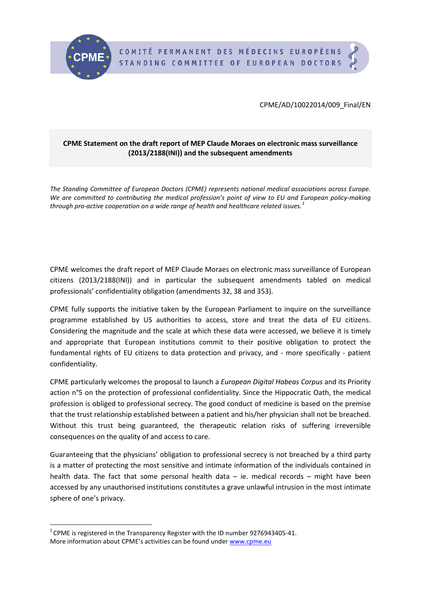

CPME/AD/10022014/009\_Final/EN

## **CPME Statement on the draft report of MEP Claude Moraes on electronic mass surveillance (2013/2188(INI)) and the subsequent amendments**

*The Standing Committee of European Doctors (CPME) represents national medical associations across Europe. We are committed to contributing the medical profession's point of view to EU and European policy-making through pro-active cooperation on a wide range of health and healthcare related issues.[1](#page-0-0)*

CPME welcomes the draft report of MEP Claude Moraes on electronic mass surveillance of European citizens (2013/2188(INI)) and in particular the subsequent amendments tabled on medical professionals' confidentiality obligation (amendments 32, 38 and 353).

CPME fully supports the initiative taken by the European Parliament to inquire on the surveillance programme established by US authorities to access, store and treat the data of EU citizens. Considering the magnitude and the scale at which these data were accessed, we believe it is timely and appropriate that European institutions commit to their positive obligation to protect the fundamental rights of EU citizens to data protection and privacy, and - more specifically - patient confidentiality.

CPME particularly welcomes the proposal to launch a *European Digital Habeas Corpus* and its Priority action n°5 on the protection of professional confidentiality. Since the Hippocratic Oath, the medical profession is obliged to professional secrecy. The good conduct of medicine is based on the premise that the trust relationship established between a patient and his/her physician shall not be breached. Without this trust being guaranteed, the therapeutic relation risks of suffering irreversible consequences on the quality of and access to care.

Guaranteeing that the physicians' obligation to professional secrecy is not breached by a third party is a matter of protecting the most sensitive and intimate information of the individuals contained in health data. The fact that some personal health data – ie. medical records – might have been accessed by any unauthorised institutions constitutes a grave unlawful intrusion in the most intimate sphere of one's privacy.

<span id="page-0-0"></span> $\overline{1}$  $1$  CPME is registered in the Transparency Register with the ID number 9276943405-41. More information about CPME's activities can be found under [www.cpme.eu](http://www.cpme.eu/)